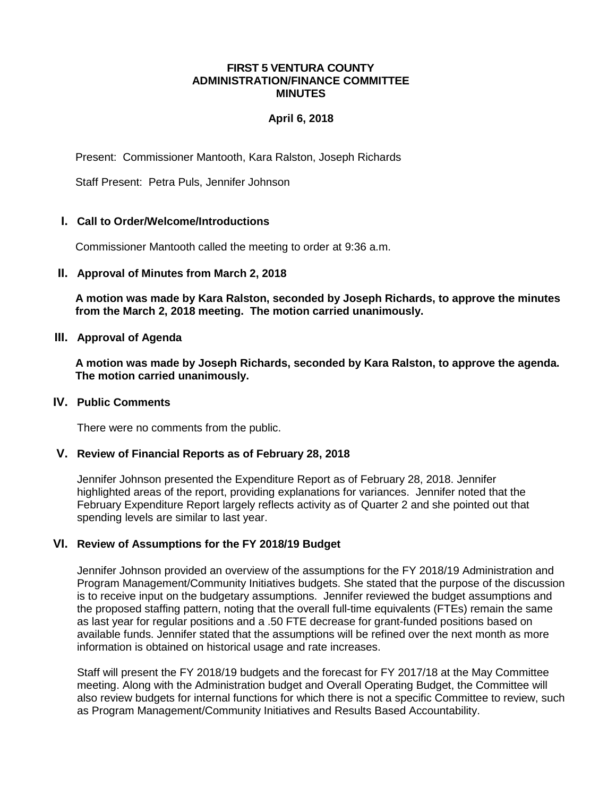#### **FIRST 5 VENTURA COUNTY ADMINISTRATION/FINANCE COMMITTEE MINUTES**

## **April 6, 2018**

Present: Commissioner Mantooth, Kara Ralston, Joseph Richards

Staff Present: Petra Puls, Jennifer Johnson

### **I. Call to Order/Welcome/Introductions**

Commissioner Mantooth called the meeting to order at 9:36 a.m.

#### **II. Approval of Minutes from March 2, 2018**

**A motion was made by Kara Ralston, seconded by Joseph Richards, to approve the minutes from the March 2, 2018 meeting. The motion carried unanimously.**

**III. Approval of Agenda**

**A motion was made by Joseph Richards, seconded by Kara Ralston, to approve the agenda. The motion carried unanimously.**

### **IV. Public Comments**

There were no comments from the public.

# **V. Review of Financial Reports as of February 28, 2018**

Jennifer Johnson presented the Expenditure Report as of February 28, 2018. Jennifer highlighted areas of the report, providing explanations for variances. Jennifer noted that the February Expenditure Report largely reflects activity as of Quarter 2 and she pointed out that spending levels are similar to last year.

## **VI. Review of Assumptions for the FY 2018/19 Budget**

Jennifer Johnson provided an overview of the assumptions for the FY 2018/19 Administration and Program Management/Community Initiatives budgets. She stated that the purpose of the discussion is to receive input on the budgetary assumptions. Jennifer reviewed the budget assumptions and the proposed staffing pattern, noting that the overall full-time equivalents (FTEs) remain the same as last year for regular positions and a .50 FTE decrease for grant-funded positions based on available funds. Jennifer stated that the assumptions will be refined over the next month as more information is obtained on historical usage and rate increases.

Staff will present the FY 2018/19 budgets and the forecast for FY 2017/18 at the May Committee meeting. Along with the Administration budget and Overall Operating Budget, the Committee will also review budgets for internal functions for which there is not a specific Committee to review, such as Program Management/Community Initiatives and Results Based Accountability.